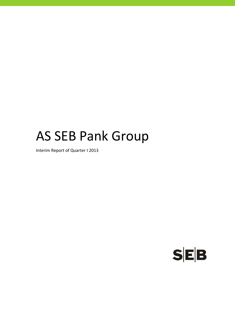# AS SEB Pank Group

Interim Report of Quarter I 2013

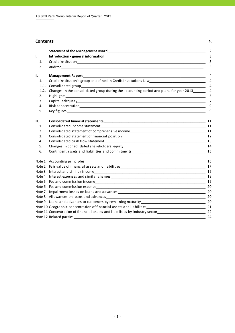#### **Contents** P.

|      |                                                                                                                                                                                                                                | 2              |
|------|--------------------------------------------------------------------------------------------------------------------------------------------------------------------------------------------------------------------------------|----------------|
| I.   |                                                                                                                                                                                                                                | 3              |
| 1.   |                                                                                                                                                                                                                                | 3              |
| 2.   |                                                                                                                                                                                                                                | 3              |
| II.  | Management Report and the contract of the contract of the contract of the contract of the contract of the contract of the contract of the contract of the contract of the contract of the contract of the contract of the cont | 4              |
| 1.   | Credit institution's group as defined in Credit Institutions Law __________________________________                                                                                                                            | $\overline{4}$ |
| 1.1. |                                                                                                                                                                                                                                | $\overline{4}$ |
| 1.2. | Changes in the consolidated group during the accounting period and plans for year 2013                                                                                                                                         | 4              |
| 2.   |                                                                                                                                                                                                                                | 5              |
| 3.   |                                                                                                                                                                                                                                | $\overline{7}$ |
| 4.   |                                                                                                                                                                                                                                | 9              |
| 5.   |                                                                                                                                                                                                                                | 9              |
| Ш.   |                                                                                                                                                                                                                                | 11             |
| 1.   |                                                                                                                                                                                                                                |                |
| 2.   | Consolidated statement of comprehensive income<br>11                                                                                                                                                                           |                |
| 3.   |                                                                                                                                                                                                                                |                |
| 4.   |                                                                                                                                                                                                                                |                |
| 5.   |                                                                                                                                                                                                                                |                |
| 6.   |                                                                                                                                                                                                                                |                |
|      |                                                                                                                                                                                                                                |                |
|      |                                                                                                                                                                                                                                |                |
|      |                                                                                                                                                                                                                                | 19             |
|      |                                                                                                                                                                                                                                | 19             |
|      |                                                                                                                                                                                                                                | 19             |
|      |                                                                                                                                                                                                                                |                |
|      |                                                                                                                                                                                                                                |                |
|      |                                                                                                                                                                                                                                |                |
|      |                                                                                                                                                                                                                                |                |
|      | Note 10 Geographic concentration of financial assets and liabilities_________________________________ 21                                                                                                                       |                |
|      | Note 11 Concentration of financial assets and liabilities by industry sector<br>22                                                                                                                                             |                |
|      |                                                                                                                                                                                                                                | 24             |
|      |                                                                                                                                                                                                                                |                |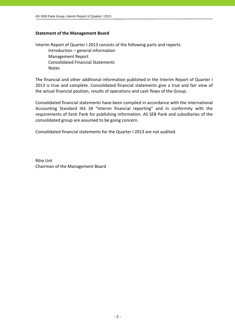#### **Statement of the Management Board**

Interim Report of Quarter I 2013 consists of the following parts and reports: Introduction – general information Management Report Consolidated Financial Statements Notes

The financial and other additional information published in the Interim Report of Quarter I 2013 is true and complete. Consolidated financial statements give a true and fair view of the actual financial position, results of operations and cash flows of the Group.

Consolidated financial statements have been compiled in accordance with the International Accounting Standard IAS 34 "Interim financial reporting" and in conformity with the requirements of Eesti Pank for publishing information. AS SEB Pank and subsidiaries of the consolidated group are assumed to be going concern.

Consolidated financial statements for the Quarter I 2013 are not audited.

Riho Unt Chairman of the Management Board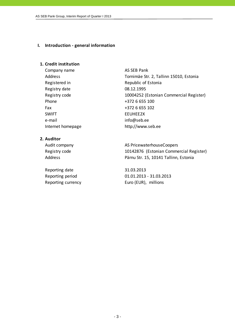#### **I. Introduction ‐ general information**

#### **1. Credit institution**

Company name AS SEB Pank Registered in Republic of Estonia Registry date 08.12.1995 Phone  $+372$  6 655 100 Fax +372 6 655 102 SWIFT EEUHEE2X e-mail info@seb.ee

Address Tornimäe Str. 2, Tallinn 15010, Estonia Registry code 10004252 (Estonian Commercial Register) Internet homepage http://www.seb.ee

#### **2. Auditor**

Reporting date 31.03.2013

Audit company and all the AS PricewaterhouseCoopers Registry code 10142876 (Estonian Commercial Register) Address **Pärnu Str. 15, 10141 Tallinn, Estonia** 

Reporting period 01.01.2013 ‐ 31.03.2013 Reporting currency Euro (EUR), millions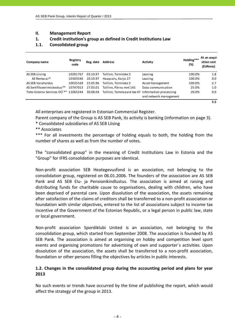#### **II. Management Report**

#### **1. Credit institution's group as defined in Credit Institutions Law**

#### **1.1. Consolidated group**

| Company name                              | Registry<br>code | Reg. date | <b>Address</b>                                   | <b>Activity</b>        | Holding***<br>(%) | At an acqui-<br>sition cost<br>(EURmio) |
|-------------------------------------------|------------------|-----------|--------------------------------------------------|------------------------|-------------------|-----------------------------------------|
| AS SEB Liising                            | 10281767         | 03.10.97  | Tallinn, Tornimäe 2                              | Leasing                | 100.0%            | 1.8                                     |
| AS Rentacar*                              | 10303546         | 20.10.97  | Haapsalu, Karja 27                               | Leasing                | 100.0%            | 0.0                                     |
| AS SEB Varahaldus                         | 10035169         | 22.05.96  | Tallinn, Tornimäe 2                              | Asset management       | 100.0%            | 2.7                                     |
| AS Sertifits eerimiskes kus <sup>**</sup> | 10747013         | 27.03.01  | Tallinn, Pärnu mnt 141                           | Data communication     | 25.0%             | 1.0                                     |
| Tieto Estonia Services OÜ ** 11065244     |                  | 30.08.04  | Tallinn, Tammsaare tee 47 Information processing |                        | 20.0%             | 0.0                                     |
|                                           |                  |           |                                                  | and network management |                   |                                         |
|                                           |                  |           |                                                  |                        |                   | 5.5                                     |

All enterprises are registered in Estonian Commercial Register.

Parent company of the Group is AS SEB Pank, its activity is banking (information on page 3).

\* Consolidated subsidiaries of AS SEB Liising

\*\* Associates

\*\*\* For all investments the percentage of holding equals to both, the holding from the number of shares as well as from the number of votes.

The "consolidated group" in the meaning of Credit Institutions Law in Estonia and the "Group" for IFRS consolidation purposes are identical.

Non‐profit association SEB Heategevusfond is an association, not belonging to the consolidation group, registered on 06.01.2006. The founders of the association are AS SEB Pank and AS SEB Elu- ja Pensionikindlustus. The association is aimed at raising and distributing funds for charitable cause to organisations, dealing with children, who have been deprived of parental care. Upon dissolution of the association, the assets remaining after satisfaction of the claims of creditors shall be transferred to a non‐profit association or foundation with similar objectives, entered to the list of associations subject to income tax incentive of the Government of the Estonian Republic, or a legal person in public law, state or local government.

Non‐profit association Spordiklubi United is an association, not belonging to the consolidation group, which started from September 2008. The association is founded by AS SEB Pank. The association is aimed at organising on hobby and competition level sport events and organising promotions for advertising of own and supporter´s activities. Upon dissolution of the association, the assets shall be transferred to a non‐profit association, foundation or other persons filling the objectives by articles in public interests.

## **1.2. Changes in the consolidated group during the accounting period and plans for year 2013**

No such events or trends have occurred by the time of publishing the report, which would affect the strategy of the group in 2013.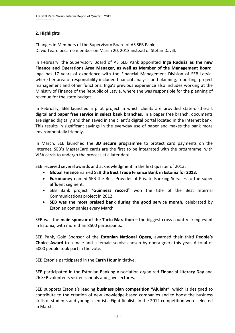## **2. Highlights**

Changes in Members of the Supervisory Board of AS SEB Pank: David Teare became member on March 20, 2013 instead of Stefan Davill.

In February, the Supervisory Board of AS SEB Pank appointed **Inga Ruduša as the new Finance and Operations Area Manager, as well as Member of the Management Board**. Inga has 17 years of experience with the Financial Management Division of SEB Latvia, where her area of responsibility included financial analysis and planning, reporting, project management and other functions. Inga's previous experience also includes working at the Ministry of Finance of the Republic of Latvia, where she was responsible for the planning of revenue for the state budget.

In February, SEB launched a pilot project in which clients are provided state‐of‐the‐art digital and **paper free service in select bank branches**. In a paper free branch, documents are signed digitally and then saved in the client's digital portal located in the Internet bank. This results in significant savings in the everyday use of paper and makes the bank more environmentally friendly.

In March, SEB launched the **3D secure programme** to protect card payments on the Internet. SEB's MasterCard cards are the first to be integrated with the programme; with VISA cards to undergo the process at a later date.

SEB received several awards and acknowledgment in the first quarter of 2013:

- **Global Finance** named SEB **the Best Trade Finance Bank in Estonia for 2013.**
- **Euromoney** named SEB the Best Provider of Private Banking Services to the super affluent segment.
- SEB Bank project "**Guinness record**" won the title of the Best Internal Communications project in 2012.
- **SEB was the most praised bank during the good service month,** celebrated by Estonian companies every March.

SEB was the **main sponsor of the Tartu Marathon** – the biggest cross‐country skiing event in Estonia, with more than 8500 participants.

SEB Pank, Gold Sponsor of the **Estonian National Opera**, awarded their third **People's Choice Award** to a male and a female soloist chosen by opera‐goers this year. A total of 5000 people took part in the vote.

SEB Estonia participated in the **Earth Hour** initiative.

SEB participated in the Estonian Banking Association organized **Financial Literacy Day** and 26 SEB volunteers visited schools and gave lectures.

SEB supports Estonia's leading **business plan competition "Ajujaht"**, which is designed to contribute to the creation of new knowledge‐based companies and to boost the business skills of students and young scientists. Eight finalists in the 2012 competition were selected in March.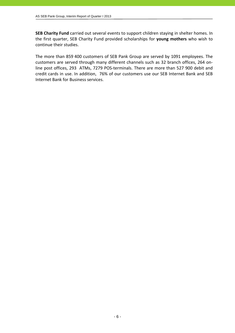**SEB Charity Fund** carried out several events to support children staying in shelter homes. In the first quarter, SEB Charity Fund provided scholarships for **young mothers** who wish to continue their studies.

The more than 859.400 customers of SEB Pank Group are served by 1091 employees. The customers are served through many different channels such as 32 branch offices, 264 on‐ line post offices, 293 ATMs, 7279 POS-terminals. There are more than 527 900 debit and credit cards in use. In addition, 76% of our customers use our SEB Internet Bank and SEB Internet Bank for Business services.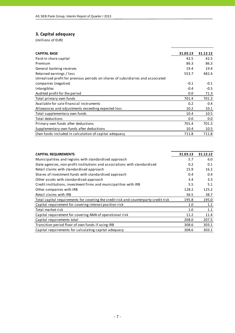## **3. Capital adequacy**

| <b>CAPITAL BASE</b>                                                             | 31.03.13 | 31.12.12 |
|---------------------------------------------------------------------------------|----------|----------|
| Paid-in share capital                                                           | 42.5     | 42.5     |
| Premium                                                                         | 86.3     | 86.3     |
| General banking reserves                                                        | 19.4     | 19.4     |
| Retained earnings / loss                                                        | 553.7    | 482.4    |
| Unrealised profit for previous periods on shares of subsidiaries and associated |          |          |
| companies (negative)                                                            | $-0.1$   | $-0.1$   |
| Intangibles                                                                     | $-0.4$   | $-0.5$   |
| Audited profit for the period                                                   | 0.0      | 71.3     |
| Total primary own funds                                                         | 701.4    | 701.3    |
| Available for sale financial instruments                                        | 0.2      | 0.4      |
| Allowances and adjustments exceeding expected loss                              | 10.2     | 10.1     |
| Total supplementary own funds                                                   | 10.4     | 10.5     |
| Total deductions                                                                | 0.0      | 0.0      |
| Primary own funds after deductions                                              | 701.4    | 701.3    |
| Supplementary own funds after deductions                                        | 10.4     | 10.5     |
| Own funds included in calculation of capital adequacy                           | 711.8    | 711.8    |

| <b>CAPITAL REQUIREMENTS</b>                                                          | 31.03.13 | 31.12.12 |
|--------------------------------------------------------------------------------------|----------|----------|
| Municipalities and regions with standardised approach                                | 5.7      | 6.0      |
| State agencies, non-profit institutions and associations with standardised           | 0.2      | 0.1      |
| Retail claims with standardised approach                                             | 15.9     | 16.2     |
| Shares of investment funds with standardised approach                                | 0.4      | 0.4      |
| Other assets with standardised approach                                              | 3.4      | 3.3      |
| Credit institutions, investment firms and municipalities with IRB                    | 5.5      | 5.1      |
| Other companies with IRB                                                             | 128.2    | 125.2    |
| Retail claims with IRB                                                               | 36.5     | 38.7     |
| Total capital requirements for covering the credit risk and counterparty credit risk | 195.8    | 195.0    |
| Capital requirement for covering interest position risk                              | 1.0      | 1.1      |
| Total market risk                                                                    | 1.0      | 1.1      |
| Capital requirement for covering AMA of operational risk                             | 11.2     | 11.4     |
| Capital requirements total                                                           | 208.0    | 207.5    |
| Transition period floor of own funds if using IRB                                    | 308.6    | 303.1    |
| Capital requirements for calculating capital adequacy                                | 308.6    | 303.1    |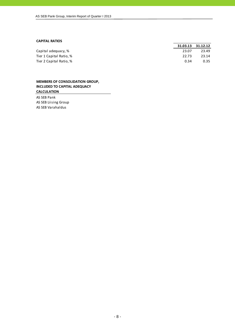#### **CAPITAL RATIOS**

|                         |       | 31.03.13 31.12.12 |
|-------------------------|-------|-------------------|
| Capital adequacy, %     | 23.07 | 23.49             |
| Tier 1 Capital Ratio, % | 22.73 | 23.14             |
| Tier 2 Capital Ratio, % | 0.34  | 0.35              |

#### **MEMBERS OF CONSOLIDATION GROUP, INCLUDED TO CAPITAL ADEQUACY CALCULATION**

AS SEB Pank AS SEB Liising Group AS SEB Varahaldus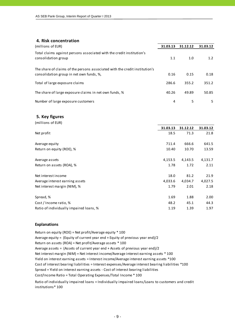#### **4. Risk concentration**

| (millions of EUR)                                                                                                       | 31.03.13 | 31.12.12 | 31.03.12      |
|-------------------------------------------------------------------------------------------------------------------------|----------|----------|---------------|
| Total claims against persons associated with the credit institution's<br>consolidation group                            | 1.1      | 1.0      | $1.2^{\circ}$ |
| The share of claims of the persons associated with the credit institution's<br>consolidation group in net own funds, %, | 0.16     | 0.15     | 0.18          |
| Total of large exposure claims                                                                                          | 286.6    | 355.2    | 351.2         |
| The share of large exposure claims in net own funds, %                                                                  | 40.26    | 49.89    | 50.85         |
| Number of large exposure customers                                                                                      | 4        | 5        | 5.            |

#### **5. Key figures**

| (millions of EUR)                       |          |          |          |
|-----------------------------------------|----------|----------|----------|
|                                         | 31.03.13 | 31.12.12 | 31.03.12 |
| Net profit                              | 18.5     | 71.3     | 21.8     |
|                                         |          |          |          |
| Average equity                          | 711.4    | 666.6    | 641.5    |
| Return on equity (ROE), %               | 10.40    | 10.70    | 13.59    |
| Average assets                          | 4,153.5  | 4,143.5  | 4,131.7  |
| Return on assets (ROA), %               | 1.78     | 1.72     | 2.11     |
|                                         |          |          |          |
| Net interest income                     | 18.0     | 81.2     | 21.9     |
| Average interest earning assets         | 4,033.6  | 4,034.7  | 4,027.5  |
| Net interest margin (NIM), %            | 1.79     | 2.01     | 2.18     |
| Spread, %                               | 1.69     | 1.88     | 2.00     |
|                                         |          |          |          |
| Cost / Income ratio, %                  | 48.2     | 45.1     | 44.3     |
| Ratio of individually impaired loans, % | 1.19     | 1.39     | 1.97     |

#### **Explanations**

Return on equity (ROE) = Net profit/Average equity \* 100 Average equity = (Equity of current year end + Equity of previous year end)/2 Return on assets (ROA) = Net profit/Average assets \* 100 Average assets = (Assets of current year end + Assets of previous year end)/2 Cost of interest bearing liabilities = Interest expenses/Average interest bearing liabilities \*100 Cost/Income Ratio = Total Operating Expenses/Total Income \* 100 Spread = Yield on interest earning assets ‐ Cost of interest bearing liabilities Net interest margin (NIM) = Net interest income/Average interest earning assets \* 100 Yield on interest earning assets = Interest income/Average interest earning assets \*100

Ratio of individually impaired loans = Individually impaired loans/Loans to customers and credit institutions\* 100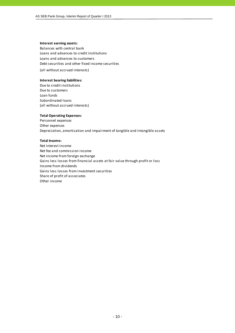#### **Interest earning assets:**

Balances with central bank Loans and advances to credit institutions Loans and advances to customers Debt securities and other fixed income securities (all without accrued interests)

#### **Interest bearing liabilities:**

Due to credit institutions Due to customers Loan funds Subordinated loans (all without accrued interests)

#### **Total Operating Expenses:**

Personnel expenses Other expenses Depreciation, amortisation and impairment of tangible and intangible assets

#### **Total Income:**

Net interest income Net fee and commission income Net income from foreign exchange Gains less losses from financial assets at fair value through profit or loss Income from dividends Gains less losses from investment securities Share of profit of associates Other income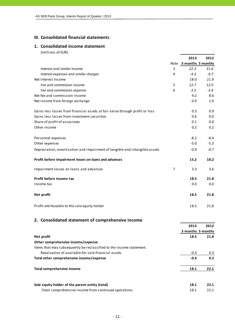## **III. Consolidated financial statements**

## **1. Consolidated income statement**

(millions of EUR)

|                                                                              |                | 2013                   | 2012   |
|------------------------------------------------------------------------------|----------------|------------------------|--------|
|                                                                              |                | Note 3 months 3 months |        |
| Interest and similar income                                                  | 3              | 22.3                   | 31.6   |
| Interest expenses and similar charges                                        | 4              | $-4.3$                 | $-9.7$ |
| Net Interest Income                                                          |                | 18.0                   | 21.9   |
| Fee and commission income                                                    | 5              | 12.7                   | 12.0   |
| Fee and commission expense                                                   | 6              | $-3.5$                 | $-3.4$ |
| Net fee and commission income                                                |                | 9.2                    | 8.6    |
| Net income from foreign exchange                                             |                | 0.9                    | 1.0    |
| Gains less losses from financial assets at fair value through profit or loss |                | 0.3                    | 0.9    |
| Gains less losses from investment securities                                 |                | 0.6                    | 0.0    |
| Share of profit of associates                                                |                | 0.1                    | 0.0    |
| Other income                                                                 |                | 0.2                    | 0.2    |
| Personnel expenses                                                           |                | $-8.2$                 | $-8.4$ |
| Other expenses                                                               |                | $-5.0$                 | $-5.3$ |
| Depreciation, amortisation and impairment of tangible and intangible assets  |                | $-0.9$                 | $-0.7$ |
| Profit before impairment losses on loans and advances                        |                | 15.2                   | 18.2   |
| Impairment losses on loans and advances                                      | $\overline{7}$ | 3.3                    | 3.6    |
| Profit before income tax                                                     |                | 18.5                   | 21.8   |
| Income tax                                                                   |                | 0.0                    | 0.0    |
| Net profit                                                                   |                | 18.5                   | 21.8   |
| Profit attributable to the sole equity holder                                |                | 18.5                   | 21.8   |

## **2. Consolidated statement of comprehensive income**

|                                                                      | 2013              | 2012 |
|----------------------------------------------------------------------|-------------------|------|
|                                                                      | 3 months 3 months |      |
| Net profit                                                           | 18.5              | 21.8 |
| Other comprehensive income/expense                                   |                   |      |
| Items that may subsequently be reclassified to the income statement: |                   |      |
| Revaluation of available-for-sale financial assets                   | $-0.4$            | 0.3  |
| Total other comprehensive income/expense                             | $-0.4$            | 0.3  |
| Total comprehensive income                                           | 18.1              | 22.1 |
| Sole equity holder of the parent entity (total)                      | 18.1              | 22.1 |
| -Total comprehensive income from continued operations                | 18.1              | 22.1 |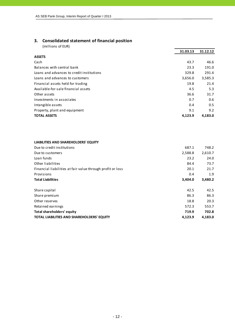## **3. Consolidated statement of financial position**

(millions of EUR)

|                                           | 31.03.13 | 31.12.12 |
|-------------------------------------------|----------|----------|
| <b>ASSETS</b>                             |          |          |
| Cash                                      | 43.7     | 46.6     |
| Balances with central bank                | 23.3     | 191.0    |
| Loans and advances to credit institutions | 329.8    | 291.4    |
| Loans and advances to customers           | 3,656.0  | 3,585.3  |
| Financial assets held for trading         | 19.8     | 21.4     |
| Available-for-sale financial assets       | 4.5      | 5.3      |
| Other assets                              | 36.6     | 31.7     |
| Investments in associates                 | 0.7      | 0.6      |
| Intangible assets                         | 0.4      | 0.5      |
| Property, plant and equipment             | 9.1      | 9.2      |
| <b>TOTAL ASSETS</b>                       | 4.123.9  | 4,183.0  |

#### **LIABILITIES AND SHAREHOLDERS' EQUITY**

| Due to credit institutions                                 | 687.1   | 748.2   |
|------------------------------------------------------------|---------|---------|
| Due to customers                                           | 2,588.8 | 2,610.7 |
| Loan funds                                                 | 23.2    | 24.0    |
| Other liabilities                                          | 84.4    | 73.7    |
| Financial liabilities at fair value through profit or loss | 20.1    | 21.7    |
| Provisions                                                 | 0.4     | 1.9     |
| <b>Total Liabilities</b>                                   | 3,404.0 | 3,480.2 |
| Share capital                                              | 42.5    | 42.5    |
| Share premium                                              | 86.3    | 86.3    |
| Other reserves                                             | 18.8    | 20.3    |
| Retained earnings                                          | 572.3   | 553.7   |
| Total shareholders' equity                                 | 719.9   | 702.8   |
| TOTAL LIABILITIES AND SHAREHOLDERS' EQUITY                 | 4,123.9 | 4,183.0 |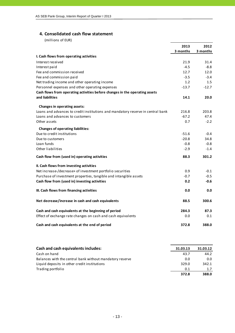## **4. Consolidated cash flow statement**

|                                                                                 | 2013     | 2012     |
|---------------------------------------------------------------------------------|----------|----------|
|                                                                                 | 3 months | 3 months |
| I. Cash flows from operating activities                                         |          |          |
| Interest received                                                               | 21.9     | 31.4     |
| Interest paid                                                                   | $-4.5$   | $-8.8$   |
| Fee and commission received                                                     | 12.7     | 12.0     |
| Fee and commission paid                                                         | $-3.5$   | $-3.4$   |
| Net trading income and other operating income                                   | 1.2      | 1.5      |
| Personnel expenses and other operating expenses                                 | $-13.7$  | $-12.7$  |
| Cash flows from operating activities before changes in the operating assets     |          |          |
| and liabilities                                                                 | 14.1     | 20.0     |
| Changes in operating assets:                                                    |          |          |
| Loans and advances to credit institutions and mandatory reserve in central bank | 216.8    | 203.8    |
| Loans and advances to customers                                                 | $-67.2$  | 47.4     |
| Other assets                                                                    | 0.7      | $-2.2$   |
| <b>Changes of operating liabilities:</b>                                        |          |          |
| Due to credit institutions                                                      | $-51.6$  | $-0.4$   |
| Due to customers                                                                | $-20.8$  | 34.8     |
| Loan funds                                                                      | $-0.8$   | $-0.8$   |
| Other liabilities                                                               | $-2.9$   | $-1.4$   |
| Cash flow from (used in) operating activities                                   | 88.3     | 301.2    |
| II. Cash flows from investing activities                                        |          |          |
| Net increase-/decrease+ of investment portfolio securities                      | 0.9      | $-0.1$   |
| Purchase of investment properties, tangible and intangible assets               | $-0.7$   | $-0.5$   |
| Cash flow from (used in) investing activities                                   | 0.2      | $-0.6$   |
| III. Cash flows from financing activities                                       | 0.0      | 0.0      |
| Net decrease/increase in cash and cash equivalents                              | 88.5     | 300.6    |
| Cash and cash equivalents at the beginning of period                            | 284.3    | 87.3     |
| Effect of exchange rate changes on cash and cash equivalents                    | 0.0      | 0.1      |
| Cash and cash equivalents at the end of period                                  | 372.8    | 388.0    |

| Cash and cash equivalents includes:                      | 31.03.13 | 31.03.12 |
|----------------------------------------------------------|----------|----------|
| Cash on hand                                             | 43.7     | 44.2     |
| Balances with the central bank without mandatory reserve | 0.0      | 0.0      |
| Liquid deposits in other credit institutions             | 329.0    | 342.1    |
| Trading portfolio                                        | 0.1      | 1.7      |
|                                                          | 372.8    | 388.0    |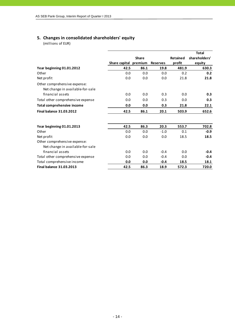## **5. Changes in consolidated shareholders' equity**

|                                                                  |               |              |                 |                 | <b>Total</b>  |
|------------------------------------------------------------------|---------------|--------------|-----------------|-----------------|---------------|
|                                                                  |               | <b>Share</b> |                 | <b>Retained</b> | shareholders' |
|                                                                  | Share capital | premium      | <b>Reserves</b> | profit          | equity        |
| Year beginning 01.01.2012                                        | 42.5          | 86.1         | 19.8            | 481.9           | 630.3         |
| Other                                                            | 0.0           | 0.0          | 0.0             | 0.2             | 0.2           |
| Net profit                                                       | 0.0           | 0.0          | 0.0             | 21.8            | 21.8          |
| Other comprehensive expense:<br>Net change in available-for-sale |               |              |                 |                 |               |
| financial assets                                                 | 0.0           | 0.0          | 0.3             | 0.0             | 0.3           |
| Total other comprehensive expense                                | 0.0           | 0.0          | 0.3             | 0.0             | 0.3           |
| <b>Total comprehensive income</b>                                | 0.0           | 0.0          | 0.3             | 21.8            | 22.1          |
| <b>Final balance 31.03.2012</b>                                  | 42.5          | 86.1         | 20.1            | 503.9           | 652.6         |
| Year beginning 01.01.2013                                        | 42.5          | 86.3         | 20.3            | 553.7           | 702.8         |
| Other                                                            | 0.0           | 0.0          | $-1.0$          | 0.1             | $-0.9$        |
| Net profit                                                       | 0.0           | 0.0          | 0.0             | 18.5            | 18.5          |
| Other comprehensive expense:<br>Net change in available-for-sale |               |              |                 |                 |               |
| financial assets                                                 | 0.0           | 0.0          | $-0.4$          | 0.0             | $-0.4$        |
| Total other comprehensive expense                                | 0.0           | 0.0          | $-0.4$          | 0.0             | $-0.4$        |
| Total comprehensive income                                       | 0.0           | 0.0          | $-0.4$          | 18.5            | 18.1          |
| <b>Final balance 31.03.2013</b>                                  | 42.5          | 86.3         | 18.9            | 572.3           | 720.0         |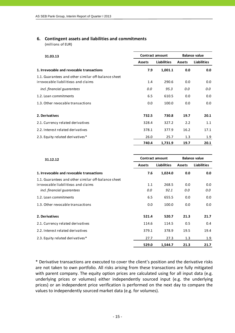## **6. Contingent assets and liabilities and commitments**

(millions of EUR)

| 31.03.13                                                                                   |               | <b>Contract amount</b> |               | <b>Balance value</b> |  |
|--------------------------------------------------------------------------------------------|---------------|------------------------|---------------|----------------------|--|
|                                                                                            | <b>Assets</b> | <b>Liabilities</b>     | <b>Assets</b> | <b>Liabilities</b>   |  |
| 1. Irrevocable and revocable transactions                                                  | 7.9           | 1,001.1                | 0.0           | 0.0                  |  |
| 1.1. Guarantees and other similar off-balance sheet<br>irrovocable liabilitieas and claims | 1.4           | 290.6                  | 0.0           | 0.0                  |  |
| incl. financial quarantees                                                                 | 0.0           | 95.3                   | 0.0           | 0.0                  |  |
| 1.2. Loan commitments                                                                      | 6.5           | 610.5                  | 0.0           | 0.0                  |  |
| 1.3. Other revocable transactions                                                          | 0.0           | 100.0                  | 0.0           | 0.0                  |  |
| 2. Derivatives                                                                             | 732.5         | 730.8                  | 19.7          | 20.1                 |  |
| 2.1. Currency related derivatives                                                          | 328.4         | 327.2                  | 2.2           | 1.1                  |  |
| 2.2. Interest related derivatives                                                          | 378.1         | 377.9                  | 16.2          | 17.1                 |  |
| 2.3. Equity related derivatives*                                                           | 26.0          | 25.7                   | 1.3           | 1.9                  |  |
|                                                                                            | 740.4         | 1,731.9                | 19.7          | 20.1                 |  |

| 31.12.12                                                                                                                 |               | <b>Contract amount</b> |            | <b>Balance value</b> |  |
|--------------------------------------------------------------------------------------------------------------------------|---------------|------------------------|------------|----------------------|--|
|                                                                                                                          | <b>Assets</b> | <b>Liabilities</b>     | Assets     | <b>Liabilities</b>   |  |
| 1. Irrevocable and revocable transactions                                                                                | 7.6           | 1,024.0                | 0.0        | 0.0                  |  |
| 1.1. Guarantees and other similar off-balance sheet<br>irrovocable liabilitieas and claims<br>incl. financial quarantees | 1.1<br>0.0    | 268.5<br>92.1          | 0.0<br>0.0 | 0.0<br>0.0           |  |
| 1.2. Loan commitments                                                                                                    | 6.5           | 655.5                  | 0.0        | 0.0                  |  |
| 1.3. Other revocable transactions                                                                                        | 0.0           | 100.0                  | 0.0        | 0.0                  |  |
| 2. Derivatives                                                                                                           | 521.4         | 520.7                  | 21.3       | 21.7                 |  |
| 2.1. Currency related derivatives                                                                                        | 114.6         | 114.5                  | 0.5        | 0.4                  |  |
| 2.2. Interest related derivatives                                                                                        | 379.1         | 378.9                  | 19.5       | 19.4                 |  |
| 2.3. Equity related derivatives*                                                                                         | 27.7          | 27.3                   | 1.3        | 1.9                  |  |
|                                                                                                                          | 529.0         | 1,544.7                | 21.3       | 21.7                 |  |

\* Derivative transactions are executed to cover the client's position and the derivative risks are not taken to own portfolio. All risks arising from these transactions are fully mitigated with parent company. The equity option prices are calculated using for all input data (e.g. underlying prices or volumes) either independently sourced input (e.g. the underlying prices) or an independent price verification is performed on the next day to compare the values to independently sourced market data (e.g. for volumes).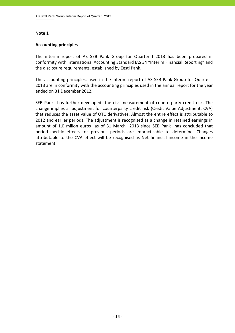#### **Accounting principles**

The interim report of AS SEB Pank Group for Quarter I 2013 has been prepared in conformity with International Accounting Standard IAS 34 "Interim Financial Reporting" and the disclosure requirements, established by Eesti Pank.

The accounting principles, used in the interim report of AS SEB Pank Group for Quarter I 2013 are in conformity with the accounting principles used in the annual report for the year ended on 31 December 2012.

SEB Pank has further developed the risk measurement of counterparty credit risk. The change implies a adjustment for counterparty credit risk (Credit Value Adjustment, CVA) that reduces the asset value of OTC derivatives. Almost the entire effect is attributable to 2012 and earlier periods. The adjustment is recognised as a change in retained earnings in amount of 1,0 millon euros as of 31 March 2013 since SEB Pank has concluded that period‐specific effects for previous periods are impracticable to determine. Changes attributable to the CVA effect will be recognised as Net financial income in the income statement.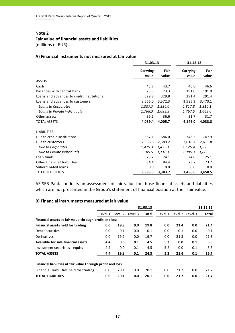#### **Fair value of financial assets and liabilities**

(millions of EUR)

#### **A) Financial instruments not measured at fair value**

|                                           |                          | 31.03.13      |                          | 31.12.12      |
|-------------------------------------------|--------------------------|---------------|--------------------------|---------------|
|                                           | <b>Carrying</b><br>value | Fair<br>value | <b>Carrying</b><br>value | Fair<br>value |
| <b>ASSETS</b>                             |                          |               |                          |               |
| Cash                                      | 43.7                     | 43.7          | 46.6                     | 46.6          |
| Balances with central bank                | 23.3                     | 23.3          | 191.0                    | 191.0         |
| Loans and advances to credit institutions | 329.8                    | 329.8         | 291.4                    | 291.4         |
| Loans and advances to customers           | 3,656.0                  | 3,572.3       | 3,585.3                  | 3,473.1       |
| Loans to Corporates                       | 1,887.7                  | 1,884.0       | 1,817.8                  | 1,810.1       |
| Loans to Private individuals              | 1,768.3                  | 1,688.3       | 1,767.5                  | 1,663.0       |
| Other assets                              | 36.6                     | 36.6          | 31.7                     | 31.7          |
| <b>TOTAL ASSETS</b>                       | 4,089.4                  | 4,005.7       | 4,146.0                  | 4,033.8       |
|                                           |                          |               |                          |               |
| <b>LIABILITIES</b>                        |                          |               |                          |               |
| Due to credit institutions                | 687.1                    | 686.0         | 748.2                    | 747.9         |
| Due to customers                          | 2,588.8                  | 2,589.2       | 2,610.7                  | 2,611.8       |
| Due to Corporates                         | 1,479.3                  | 1,479.1       | 1,525.4                  | 1,525.5       |
| Due to Private Individuals                | 1,109.5                  | 1,110.1       | 1,085.3                  | 1,086.3       |
| Loan funds                                | 23.2                     | 24.1          | 24.0                     | 25.1          |
| Other financial liabilities               | 84.4                     | 84.4          | 73.7                     | 73.7          |
| Subordinated loans                        | 0.0                      | 0.0           | 0.0                      | 0.0           |
| <b>TOTAL LIABILITIES</b>                  | 3,383.5                  | 3,383.7       | 3,456.6                  | 3,458.5       |

AS SEB Pank conducts an assessment of fair value for those financial assets and liabilities which are not presented in the Group's statement of financial position at their fair value.

#### **B) Financial instruments measured at fair value**

|                                                             |         |         |         | 31.03.13 |         |         |         | 31.12.12 |
|-------------------------------------------------------------|---------|---------|---------|----------|---------|---------|---------|----------|
|                                                             | Level 1 | Level 2 | Level 3 | Total    | Level 1 | Level 2 | Level 3 | Total    |
| Financial assets at fair value through profit and loss      |         |         |         |          |         |         |         |          |
| Financial assets held for trading                           | 0.0     | 19.8    | 0.0     | 19.8     | 0.0     | 21.4    | 0.0     | 21.4     |
| Debt securities                                             | 0.0     | 0.1     | 0.0     | 0.1      | 0.0     | 0.1     | 0.0     | 0.1      |
| Derivatives                                                 | 0.0     | 19.7    | 0.0     | 19.7     | 0.0     | 21.3    | 0.0     | 21.3     |
| Available for sale financial assets                         | 4.4     | 0.0     | 0.1     | 4.5      | 5.2     | 0.0     | 0.1     | 5.3      |
| Investment securities - equity                              | 4.4     | 0.0     | 0.1     | 4.5      | 5.2     | 0.0     | 0.1     | 5.3      |
| <b>TOTAL ASSETS</b>                                         | 4.4     | 19.8    | 0.1     | 24.3     | 5.2     | 21.4    | 0.1     | 26.7     |
| Financial liabilities at fair value through profit and loss |         |         |         |          |         |         |         |          |
| Financial liabilities held for trading                      | 0.0     | 20.1    | 0.0     | 20.1     | 0.0     | 21.7    | 0.0     | 21.7     |
| <b>TOTAL LIABILITIES</b>                                    | 0.0     | 20.1    | 0.0     | 20.1     | 0.0     | 21.7    | 0.0     | 21.7     |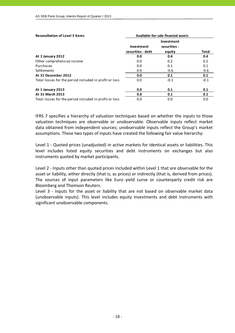| <b>Reconciliation of Level 3 Items</b>                 | Available-for-sale financial assets    |                                      |              |
|--------------------------------------------------------|----------------------------------------|--------------------------------------|--------------|
|                                                        | <b>Investment</b><br>securities - debt | Investment<br>securities -<br>equity | <b>Total</b> |
| At 1 January 2012                                      | 0.0                                    | 0.4                                  | 0.4          |
| Other comprehensive income                             | 0.0                                    | 0.2                                  | 0.2          |
| Purchases                                              | 0.0                                    | 0.1                                  | 0.1          |
| <b>Settlements</b>                                     | 0.0                                    | $-0.6$                               | $-0.6$       |
| At 31 December 2012                                    | 0.0                                    | 0.1                                  | 0.1          |
| Total losses for the period included in profit or loss | 0.0                                    | $-0.1$                               | $-0.1$       |
| At 1 January 2013                                      | 0.0                                    | 0.1                                  | 0.1          |
| At 31 March 2013                                       | 0.0                                    | 0.1                                  | 0.1          |
| Total losses for the period included in profit or loss | 0.0                                    | 0.0                                  | 0.0          |

IFRS 7 specifies a hierarchy of valuation techniques based on whether the inputs to those valuation techniques are observable or unobservable. Observable inputs reflect market data obtained from independent sources; unobservable inputs reflect the Group's market assumptions. These two types of inputs have created the following fair value hierarchy:

Level 1 ‐ Quoted prices (unadjusted) in active markets for identical assets or liabilities. This level includes listed equity securities and debt instruments on exchanges but also instruments quoted by market participants.

Level 2 - Inputs other than quoted prices included within Level 1 that are observable for the asset or liability, either directly (that is, as prices) or indirectly (that is, derived from prices). The sources of input parameters like Euro yield curve or counterparty credit risk are Bloomberg and Thomson Reuters.

Level 3 - Inputs for the asset or liability that are not based on observable market data (unobservable inputs). This level includes equity investments and debt instruments with significant unobservable components.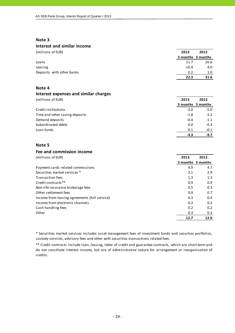#### **Interest and similar income**

| (millions of EUR) | 2013 | 2012 |
|-------------------|------|------|
|                   |      |      |

|                           |      | 3 months 3 months |
|---------------------------|------|-------------------|
| Loans                     | 11.7 | 26.6              |
| Leasing                   | 10.4 | 4.0               |
| Deposits with other banks | 0.2  | 1.0               |
|                           | 22.3 | 31.6              |

#### **Note 4**

#### **Interest expenses and similar charges**

| (millions of EUR)              | 2013   | 2012              |
|--------------------------------|--------|-------------------|
|                                |        | 3 months 3 months |
| Credit institutions            | $-2.0$ | $-5.0$            |
| Time and other saving deposits | $-1.8$ | $-3.2$            |
| Demand deposits                | $-0.4$ | $-1.1$            |
| Subordinated debts             | 0.0    | $-0.3$            |
| Loan funds                     | $-0.1$ | $-0.1$            |
|                                | -4.3   | $-9.7$            |

#### **Note 5**

#### **Fee and commission income**

| (millions of EUR)                             | 2013 | 2012              |
|-----------------------------------------------|------|-------------------|
|                                               |      | 3 months 3 months |
| Payment cards related commissions             | 4.9  | 4.7               |
| Securities market services *                  | 3.1  | 2.9               |
| <b>Transaction fees</b>                       | 1.3  | 1.3               |
| Credit contracts**                            | 0.9  | 0.9               |
| Non-life insurance brokerage fees             | 0.5  | 0.3               |
| Other settlement fees                         | 0.9  | 0.7               |
| Income from leasing agreements (full service) | 0.3  | 0.4               |
| Income from electronic channels               | 0.3  | 0.3               |
| Cash handling fees                            | 0.2  | 0.2               |
| Other                                         | 0.3  | 0.3               |
|                                               | 12.7 | 12.0              |

\* Securities market services includes asset management fees of investment funds and securties portfolios, custody services, advisory fees and other with securities transactions related fees.

\*\* Credit contracts include loan, leasing, letter of credit and guarantee contracts, which are short‐term and do not constitute interest income, but are of administrative nature for arrangement or reorganisation of credits.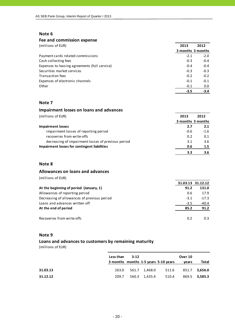#### **Fee and commission expense**

| (millions of EUR)                             | 2013   | 2012              |
|-----------------------------------------------|--------|-------------------|
|                                               |        | 3 months 3 months |
| Payment cards related commissions             | $-2.1$ | $-2.0$            |
| Cash collecting fees                          | $-0.3$ | $-0.4$            |
| Expenses to leasing agreements (full service) | $-0.4$ | $-0.4$            |
| Securities market services                    | $-0.3$ | $-0.3$            |
| Transaction fees                              | $-0.2$ | $-0.2$            |
| Expenses of electronic channels               | $-0.1$ | $-0.1$            |
| Other                                         | $-0.1$ | 0.0               |
|                                               | $-3.5$ | $-3.4$            |

#### **Note 7**

#### **Impairment losses on loans and advances**

| (millions of EUR)                                  | 2013   | 2012              |
|----------------------------------------------------|--------|-------------------|
|                                                    |        | 3 months 3 months |
| <b>Impairment losses</b>                           | 2.7    | 2.1               |
| impairment losses of reporting period              | $-0.6$ | $-1.6$            |
| recoveries from write-offs                         | 0.2    | 0.1               |
| decreasing of impairment losses of previous period | 3.1    | 3.6               |
| Impairment losses for contingent liabilities       | 0.6    | 1.5               |
|                                                    | 3.3    | 3.6               |

## **Note 8**

#### **Allowances on loans and advances**

(millions of EUR)

|                                             |        | 31.03.13 31.12.12 |
|---------------------------------------------|--------|-------------------|
| At the beginning of period (January, 1)     | 91.2   | 131.0             |
| Allowances of reporting period              | 0.6    | 17.9              |
| Decreasing of allowances of previous period | $-3.1$ | $-17.3$           |
| Loans and advances written off              | $-3.5$ | $-40.4$           |
| At the end of period                        | 85.2   | 91.2              |
| Recoveries from write-offs                  | 0.2    | 0.3               |

#### **Note 9**

#### **Loans and advances to customers by remaining maturity**

|          | Less than $3-12$ |  |                                      | Over 10 |               |
|----------|------------------|--|--------------------------------------|---------|---------------|
|          |                  |  | 3 months months 1-5 years 5-10 years | vears   | Total         |
|          |                  |  |                                      |         |               |
| 31.03.13 |                  |  | 263.0 561.7 1,468.0 511.6            |         | 851.7 3,656.0 |
| 31.12.12 | 209.7            |  | 560.3 1,435.4 510.4                  |         | 869.5 3.585.3 |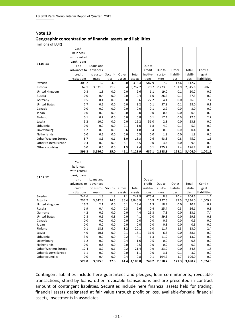#### **Geographic concentration of financial assets and liabilities**

(millions of EUR)

|                      | Cash,        |           |         |        |         |          |         |          |          |             |
|----------------------|--------------|-----------|---------|--------|---------|----------|---------|----------|----------|-------------|
|                      | balances     |           |         |        |         |          |         |          |          |             |
|                      | with central |           |         |        |         |          |         |          |          |             |
| 31.03.13             | bank, loans  |           |         |        |         |          |         |          |          |             |
|                      | and          | Loans and |         |        |         | Due to   |         |          |          |             |
|                      | advances to  | advances  |         |        |         | credit   | Due to  | Other    | Total    | Contin-     |
|                      | credit       | to custo- | Securi- | Other  | Total   | institu- | custo-  | liabili- | liabili- | gent        |
|                      | institutions | mers      | ties    | assets | assets  | tions    | mers    | ties     | ties     | liabilities |
| Sweden               | 309.2        | 1.2       | 3.0     | 0.0    | 313.4   | 587.9    | 7.2     | 17.6     | 612.7    | 1.5         |
| Estonia              | 67.1         | 3,631.8   | 21.9    | 36.4   | 3,757.2 | 20.7     | 2,223.0 | 101.9    | 2,345.6  | 986.8       |
| United Kingdom       | 0.8          | 1.8       | 0.0     | 0.0    | 2.6     | 1.1      | 19.0    | 0.1      | 20.2     | 0.2         |
| Russia               | 0.0          | 0.4       | 0.0     | 0.0    | 0.4     | 1.0      | 26.2    | 0.1      | 27.3     | 0.0         |
| Germany              | 0.5          | 0.1       | 0.0     | 0.0    | 0.6     | 22.2     | 4.1     | 0.0      | 26.3     | 7.4         |
| <b>United States</b> | 2.7          | 0.5       | 0.0     | 0.0    | 3.2     | 0.1      | 57.8    | 0.1      | 58.0     | 0.1         |
| Canada               | 0.0          | 0.0       | 0.0     | 0.0    | 0.0     | 0.1      | 2.9     | 0.0      | 3.0      | 0.0         |
| Japan                | 0.0          | 0.0       | 0.0     | 0.0    | 0.0     | 0.0      | 0.3     | 0.0      | 0.3      | 0.0         |
| Finland              | 0.1          | 0.7       | 0.0     | 0.0    | 0.8     | 0.1      | 17.4    | 0.0      | 17.5     | 2.7         |
| Latvia               | 5.2          | 10.0      | 0.0     | 0.0    | 15.2    | 51.0     | 2.8     | 0.0      | 53.8     | 0.0         |
| Lithuania            | 0.9          | 0.0       | 0.0     | 0.1    | 1.0     | 1.8      | 4.0     | 0.1      | 5.9      | 0.0         |
| Luxembourg           | 1.2          | 0.0       | 0.0     | 0.6    | 1.8     | 0.4      | 0.0     | 0.0      | 0.4      | 0.0         |
| Netherlands          | 0.0          | 0.5       | 0.0     | 0.0    | 0.5     | 0.0      | 1.8     | 0.0      | 1.8      | 0.0         |
| Other Western Europe | 8.7          | 8.5       | 0.1     | 1.0    | 18.3    | 0.6      | 43.8    | 0.8      | 45.2     | 1.6         |
| Other Eastern Europe | 0.4          | 0.0       | 0.0     | 6.1    | 6.5     | 0.0      | 3.3     | 6.0      | 9.3      | 0.0         |
| Other countries      | 0.0          | 0.5       | 0.0     | 1.9    | 2.4     | 0.1      | 175.2   | 1.4      | 176.7    | 0.8         |
|                      | 396.8        | 3,656.0   | 25.0    | 46.1   | 4,123.9 | 687.1    | 2,588.8 | 128.1    | 3,404.0  | 1,001.1     |

|                      | Cash,        |           |         |        |         |          |         |          |          |             |
|----------------------|--------------|-----------|---------|--------|---------|----------|---------|----------|----------|-------------|
|                      | balances     |           |         |        |         |          |         |          |          |             |
|                      | with central |           |         |        |         |          |         |          |          |             |
|                      | bank, Ioans  |           |         |        |         |          |         |          |          |             |
| 31.12.12             | and          | Loans and |         |        |         | Due to   |         |          |          |             |
|                      | advances to  | advances  |         |        |         | credit   | Due to  | Other    | Total    | Contin-     |
|                      | credit       | to custo- | Securi- | Other  | Total   | institu- | custo-  | liabili- | liabili- | gent        |
|                      | institutions | mers      | ties    | assets | assets  | tions    | mers    | ti es    | ties     | liabilities |
| Sweden               | 242.6        | 1.3       | 1.9     | 2.1    | 247.9   | 675.4    | 8.8     | 20.4     | 704.6    | 1.4         |
| Estonia              | 237.7        | 3,542.3   | 24.5    | 36.4   | 3,840.9 | 10.9     | 2,227.6 | 97.5     | 2,336.0  | 1,009.9     |
| United Kingdom       | 16.2         | 2.1       | 0.0     | 0.1    | 18.4    | 1.3      | 18.9    | 0.0      | 20.2     | 0.2         |
| Russia               | 1.9          | 0.4       | 0.0     | 0.3    | 2.6     | 0.4      | 25.4    | 0.3      | 26.1     | 0.1         |
| Germany              | 4.2          | 0.2       | 0.0     | 0.0    | 4.4     | 25.8     | 7.3     | 0.0      | 33.1     | 7.4         |
| <b>United States</b> | 2.8          | 0.5       | 0.8     | 0.0    | 4.1     | 0.0      | 59.3    | 0.0      | 59.3     | 0.1         |
| Canada               | 0.0          | 0.0       | 0.0     | 0.0    | 0.0     | 0.0      | 0.9     | 0.0      | 0.9      | 0.0         |
| Japan                | 0.0          | 0.0       | 0.0     | 0.0    | 0.0     | 0.0      | 0.3     | 0.0      | 0.3      | 0.0         |
| Finland              | 0.1          | 18.8      | 0.0     | 1.2    | 20.1    | 0.0      | 11.7    | 1.3      | 13.0     | 2.4         |
| Latvia               | 4.9          | 10.1      | 0.0     | 0.1    | 15.1    | 31.6     | 6.5     | 0.0      | 38.1     | 0.0         |
| Lithuania            | 3.9          | 0.0       | 0.0     | 0.2    | 4.1     | 1.3      | 11.9    | 0.0      | 13.2     | 0.0         |
| Luxembourg           | 1.2          | 0.0       | 0.0     | 0.4    | 1.6     | 0.5      | 0.0     | 0.0      | 0.5      | 0.0         |
| Netherlands          | 0.0          | 0.5       | 0.0     | 0.0    | 0.5     | 0.0      | 0.9     | 0.0      | 0.9      | 0.0         |
| Other Western Europe | 12.4         | 8.7       | 0.1     | 0.2    | 21.4    | 0.9      | 33.9    | 0.0      | 34.8     | 1.6         |
| Other Eastern Europe | 1.1          | 0.0       | 0.0     | 0.0    | 1.1     | 0.0      | 3.1     | 0.1      | 3.2      | 0.0         |
| Other countries      | 0.0          | 0.4       | 0.0     | 0.4    | 0.8     | 0.1      | 194.2   | 1.7      | 196.0    | 0.9         |
|                      | 529.0        | 3,585.3   | 27.3    | 41.4   | 4,183.0 | 748.2    | 2,610.7 | 121.3    | 3,480.2  | 1,024.0     |

Contingent liabilities include here guarantees and pledges, loan commitments, revocable transactions, stand‐by loans, other revocable transactions and are presented in contract amount of contingent liabilities. Securities include here financial assets held for trading, financial assets designated at fair value through profit or loss, available‐for‐sale financial assets, investments in associates.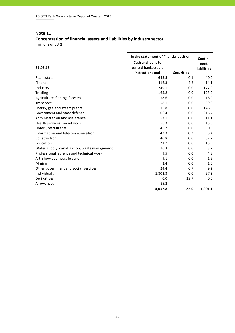## **Concentration of financial assets and liabilities by industry sector**

|                                              | In the statement of financial position                        | Contin-           |                            |
|----------------------------------------------|---------------------------------------------------------------|-------------------|----------------------------|
| 31.03.13                                     | Cash and loans to<br>central bank, credit<br>institutions and | <b>Securities</b> | gent<br><b>liabilities</b> |
| Real estate                                  | 645.5                                                         | 0.1               | 40.0                       |
| Finance                                      | 416.3                                                         | 4.2               | 14.1                       |
| Industry                                     | 249.1                                                         | 0.0               | 177.9                      |
| Trading                                      | 165.8                                                         | 0.0               | 123.0                      |
| Agriculture, fishing, forestry               | 158.6                                                         | 0.0               | 18.9                       |
| Transport                                    | 158.1                                                         | 0.0               | 69.9                       |
| Energy, gas and steam plants                 | 115.8                                                         | 0.0               | 146.6                      |
| Government and state defence                 | 106.4                                                         | 0.0               | 216.7                      |
| Administration and assistance                | 57.1                                                          | 0.0               | 11.1                       |
| Health services, social work                 | 56.3                                                          | 0.0               | 13.5                       |
| Hotels, restaurants                          | 46.2                                                          | 0.0               | 0.8                        |
| Information and telecommunication            | 42.3                                                          | 0.3               | 5.4                        |
| Construction                                 | 40.8                                                          | 0.0               | 62.2                       |
| Education                                    | 21.7                                                          | 0.0               | 13.9                       |
| Water supply, canalisation, waste management | 10.3                                                          | 0.0               | 3.2                        |
| Professional, science and technical work     | 9.5                                                           | 0.0               | 4.8                        |
| Art, show business, leisure                  | 9.1                                                           | 0.0               | 1.6                        |
| Mining                                       | 2.4                                                           | 0.0               | 1.0                        |
| Other government and social services         | 24.4                                                          | 0.7               | 9.2                        |
| Individuals                                  | 1,802.3                                                       | 0.0               | 67.3                       |
| Derivatives                                  | 0.0                                                           | 19.7              | 0.0                        |
| Allowances                                   | $-85.2$                                                       |                   |                            |
|                                              | 4,052.8                                                       | 25.0              | 1,001.1                    |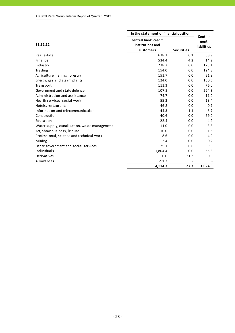|                                              | In the statement of financial position | Contin-           |                    |
|----------------------------------------------|----------------------------------------|-------------------|--------------------|
|                                              | central bank, credit                   |                   | gent               |
| 31.12.12                                     | institutions and                       |                   | <b>liabilities</b> |
|                                              | customers                              | <b>Securities</b> |                    |
| Real estate                                  | 638.1                                  | 0.1               | 38.9               |
| Finance                                      | 534.4                                  | 4.2               | 14.2               |
| Industry                                     | 238.7                                  | 0.0               | 173.1              |
| Trading                                      | 154.0                                  | 0.0               | 124.8              |
| Agriculture, fishing, forestry               | 151.7                                  | 0.0               | 21.9               |
| Energy, gas and steam plants                 | 124.0                                  | 0.0               | 160.5              |
| Transport                                    | 111.3                                  | 0.0               | 76.0               |
| Government and state defence                 | 107.8                                  | 0.0               | 224.3              |
| Administration and assistance                | 74.7                                   | 0.0               | 11.0               |
| Health services, social work                 | 55.2                                   | 0.0               | 13.4               |
| Hotels, restaurants                          | 46.8                                   | 0.0               | 0.7                |
| Information and telecommunication            | 44.3                                   | 1.1               | 6.7                |
| Construction                                 | 40.6                                   | 0.0               | 69.0               |
| Education                                    | 22.4                                   | 0.0               | 4.9                |
| Water supply, canalisation, waste management | 11.0                                   | 0.0               | 3.3                |
| Art, show business, leisure                  | 10.0                                   | 0.0               | 1.6                |
| Professional, science and technical work     | 8.6                                    | 0.0               | 4.9                |
| Mining                                       | 2.4                                    | 0.0               | 0.2                |
| Other government and social services         | 25.1                                   | 0.6               | 9.3                |
| Individuals                                  | 1,804.4                                | 0.0               | 65.3               |
| Derivatives                                  | 0.0                                    | 21.3              | 0.0                |
| Allowances                                   | $-91.2$                                |                   |                    |
|                                              | 4,114.3                                | 27.3              | 1.024.0            |